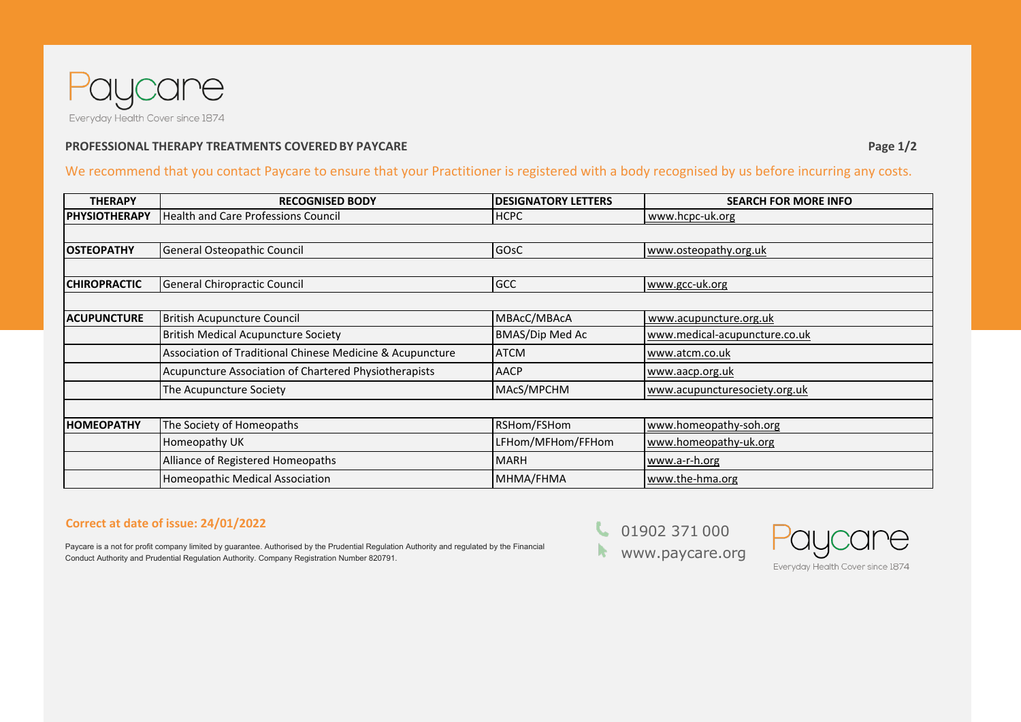

## **PROFESSIONAL THERAPY TREATMENTS COVERED BY PAYCARE PAGE 1/2 Page 1/2 Page 1/2**

We recommend that you contact Paycare to ensure that your Practitioner is registered with a body recognised by us before incurring any costs.

| <b>THERAPY</b>       | <b>RECOGNISED BODY</b>                                    | <b>IDESIGNATORY LETTERS</b> | <b>SEARCH FOR MORE INFO</b>   |
|----------------------|-----------------------------------------------------------|-----------------------------|-------------------------------|
| <b>PHYSIOTHERAPY</b> | <b>Health and Care Professions Council</b>                | <b>HCPC</b>                 | www.hcpc-uk.org               |
|                      |                                                           |                             |                               |
| <b>OSTEOPATHY</b>    | General Osteopathic Council                               | GOsC                        | www.osteopathy.org.uk         |
|                      |                                                           |                             |                               |
| <b>CHIROPRACTIC</b>  | General Chiropractic Council                              | <b>GCC</b>                  | www.gcc-uk.org                |
|                      |                                                           |                             |                               |
| <b>ACUPUNCTURE</b>   | <b>British Acupuncture Council</b>                        | MBAcC/MBAcA                 | www.acupuncture.org.uk        |
|                      | <b>British Medical Acupuncture Society</b>                | BMAS/Dip Med Ac             | www.medical-acupuncture.co.uk |
|                      | Association of Traditional Chinese Medicine & Acupuncture | <b>ATCM</b>                 | www.atcm.co.uk                |
|                      | Acupuncture Association of Chartered Physiotherapists     | <b>AACP</b>                 | www.aacp.org.uk               |
|                      | The Acupuncture Society                                   | MAcS/MPCHM                  | www.acupuncturesociety.org.uk |
|                      |                                                           |                             |                               |
| <b>HOMEOPATHY</b>    | The Society of Homeopaths                                 | RSHom/FSHom                 | www.homeopathy-soh.org        |
|                      | Homeopathy UK                                             | LFHom/MFHom/FFHom           | www.homeopathy-uk.org         |
|                      | Alliance of Registered Homeopaths                         | <b>MARH</b>                 | www.a-r-h.org                 |
|                      | Homeopathic Medical Association                           | MHMA/FHMA                   | www.the-hma.org               |

## **Correct at date of issue: 24/01/2022**

Paycare is a not for profit company limited by guarantee. Authorised by the Prudential Regulation Authority and regulated by the Financial Conduct Authority and Prudential Regulation Authority. Company Registration Number 820791.

 [01](http://www.bcma.co.uk/)902 371 000 [www.paycare.or](http://www.thehypnotherapyassociation.co.uk/)g